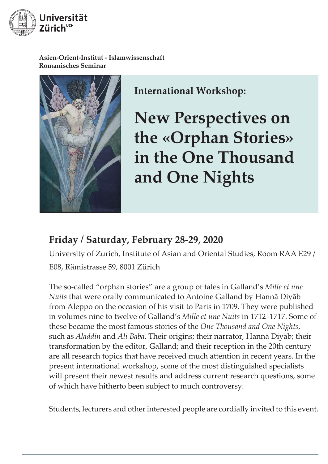

**Asien-Orient-Institut - Islamwissenschaft Romanisches Seminar**



**International Workshop:** 

**New Perspectives on the «Orphan Stories» in the One Thousand and One Nights**

# **Friday / Saturday, February 28-29, 2020**

University of Zurich, Institute of Asian and Oriental Studies, Room RAA E29 / E08, Rämistrasse 59, 8001 Zürich

The so-called "orphan stories" are a group of tales in Galland's *Mille et une Nuits* that were orally communicated to Antoine Galland by Hannā Diyāb from Aleppo on the occasion of his visit to Paris in 1709. They were published in volumes nine to twelve of Galland's *Mille et une Nuits* in 1712–1717. Some of these became the most famous stories of the *One Thousand and One Nights*, such as *Aladdin* and *Ali Baba*. Their origins; their narrator, Hannā Diyāb; their transformation by the editor, Galland; and their reception in the 20th century are all research topics that have received much attention in recent years. In the present international workshop, some of the most distinguished specialists will present their newest results and address current research questions, some of which have hitherto been subject to much controversy.

Students, lecturers and other interested people are cordially invited to this event.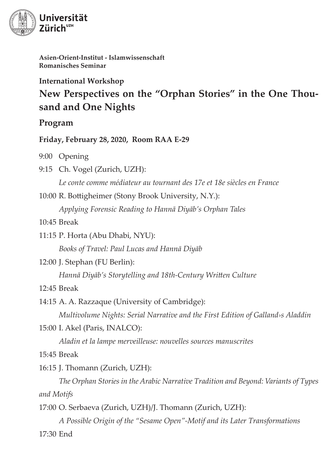

**Asien-Orient-Institut - Islamwissenschaft Romanisches Seminar**

**International Workshop**

# **New Perspectives on the "Orphan Stories" in the One Thousand and One Nights**

### **Program**

**Friday, February 28, 2020, Room RAA E-29**

9:00 Opening

- 9:15 Ch. Vogel (Zurich, UZH): *Le conte comme médiateur au tournant des 17e et 18e siècles en France*
- 10:00 R. Bottigheimer (Stony Brook University, N.Y.): *Applying Forensic Reading to Hannā Diyāb's Orphan Tales*

10:45 Break

11:15 P. Horta (Abu Dhabi, NYU): *Books of Travel: Paul Lucas and Hannā Diyāb*

12:00 J. Stephan (FU Berlin):

*Hannā Diyāb's Storytelling and 18th-Century Written Culture*

 $12.45$  Break

14:15 A. A. Razzaque (University of Cambridge): *Multivolume Nights: Serial Narrative and the First Edition of Galland›s Aladdin*

15:00 I. Akel (Paris, INALCO):

*Aladin et la lampe merveilleuse: nouvelles sources manuscrites*

15:45 Break

16:15 J. Thomann (Zurich, UZH):

 *The Orphan Stories in the Arabic Narrative Tradition and Beyond: Variants of Types and Motifs*

17:00 O. Serbaeva (Zurich, UZH)/J. Thomann (Zurich, UZH):

 *A Possible Origin of the "Sesame Open"-Motif and its Later Transformations* 17:30 End